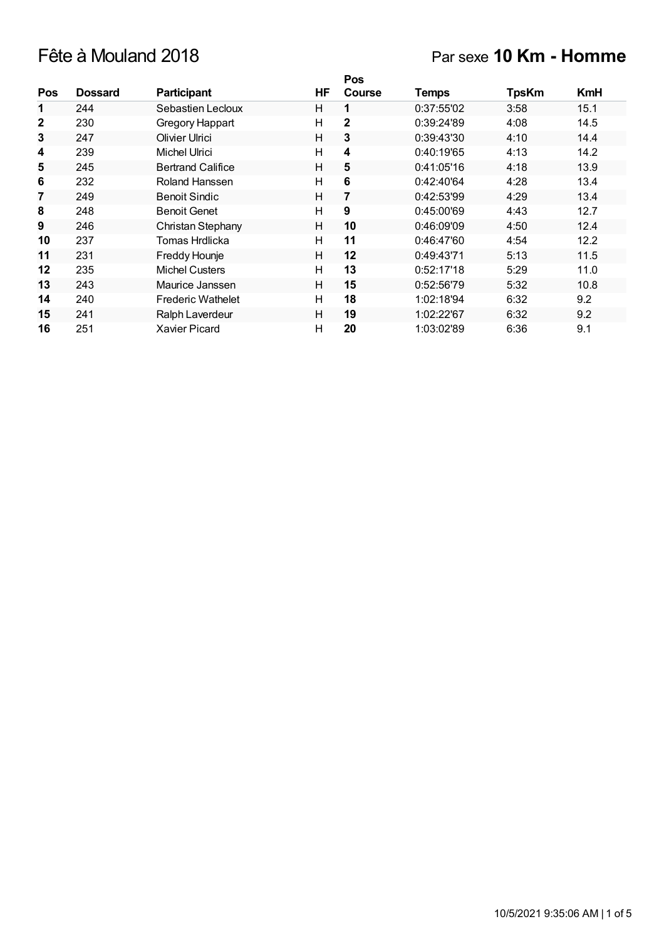# Fête à Mouland 2018 Par sexe **10 Km - Homme**

|              |                |                          |    | <b>Pos</b>    |              |              |      |
|--------------|----------------|--------------------------|----|---------------|--------------|--------------|------|
| <b>Pos</b>   | <b>Dossard</b> | <b>Participant</b>       | HF | <b>Course</b> | <b>Temps</b> | <b>TpsKm</b> | KmH  |
| 1            | 244            | Sebastien Lecloux        | н  | 1             | 0:37:55'02   | 3:58         | 15.1 |
| $\mathbf{2}$ | 230            | Gregory Happart          | н  | $\mathbf{2}$  | 0:39:24'89   | 4:08         | 14.5 |
| 3            | 247            | Olivier Ulrici           | н  | 3             | 0:39:43'30   | 4:10         | 14.4 |
| 4            | 239            | Michel Ulrici            | н  | 4             | 0:40:19'65   | 4:13         | 14.2 |
| 5            | 245            | <b>Bertrand Califice</b> | Н  | 5             | 0:41:05'16   | 4:18         | 13.9 |
| 6            | 232            | Roland Hanssen           | н  | 6             | 0:42:40'64   | 4:28         | 13.4 |
| 7            | 249            | <b>Benoit Sindic</b>     | Н  | 7             | 0:42:53'99   | 4:29         | 13.4 |
| 8            | 248            | <b>Benoit Genet</b>      | H  | 9             | 0:45:00'69   | 4:43         | 12.7 |
| 9            | 246            | Christan Stephany        | Н  | 10            | 0:46:09'09   | 4:50         | 12.4 |
| 10           | 237            | Tomas Hrdlicka           | н  | 11            | 0:46:47'60   | 4:54         | 12.2 |
| 11           | 231            | Freddy Hounje            | Н  | 12            | 0:49:43'71   | 5:13         | 11.5 |
| 12           | 235            | <b>Michel Custers</b>    | н  | 13            | 0:52:17'18   | 5:29         | 11.0 |
| 13           | 243            | Maurice Janssen          | н  | 15            | 0:52:56'79   | 5:32         | 10.8 |
| 14           | 240            | <b>Frederic Wathelet</b> | н  | 18            | 1:02:18'94   | 6:32         | 9.2  |
| 15           | 241            | Ralph Laverdeur          | н  | 19            | 1:02:22'67   | 6:32         | 9.2  |
| 16           | 251            | Xavier Picard            | Н  | 20            | 1:03:02'89   | 6:36         | 9.1  |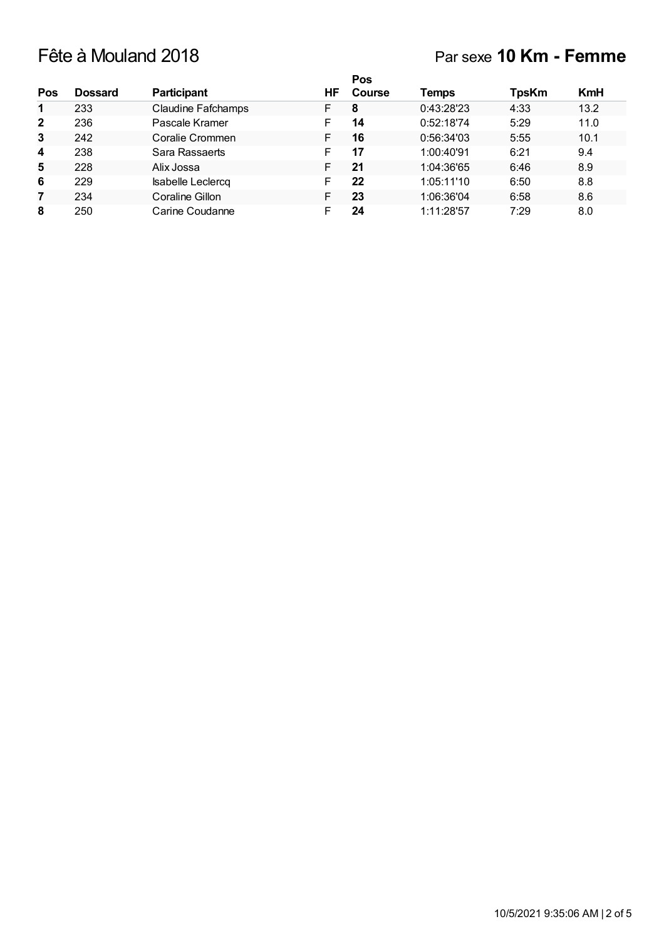# Fête à Mouland 2018 Par sexe **10 Km - Femme**

|                |                |                           |    | Pos           |            |              |            |
|----------------|----------------|---------------------------|----|---------------|------------|--------------|------------|
| Pos            | <b>Dossard</b> | <b>Participant</b>        | ΗF | <b>Course</b> | Temps      | <b>TpsKm</b> | <b>KmH</b> |
| $\mathbf 1$    | 233            | <b>Claudine Fafchamps</b> | F  | 8             | 0:43:28'23 | 4:33         | 13.2       |
| $\overline{2}$ | 236            | Pascale Kramer            | F  | 14            | 0:52:18'74 | 5:29         | 11.0       |
| 3              | 242            | Coralie Crommen           | F  | 16            | 0:56:34'03 | 5:55         | 10.1       |
| 4              | 238            | Sara Rassaerts            | F  | 17            | 1:00:40'91 | 6:21         | 9.4        |
| 5              | 228            | Alix Jossa                | F. | 21            | 1:04:36'65 | 6:46         | 8.9        |
| 6              | 229            | Isabelle Leclercq         | F  | 22            | 1:05:11'10 | 6:50         | 8.8        |
| 7              | 234            | Coraline Gillon           | F  | 23            | 1:06:36'04 | 6:58         | 8.6        |
| 8              | 250            | Carine Coudanne           |    | 24            | 1:11:28'57 | 7:29         | 8.0        |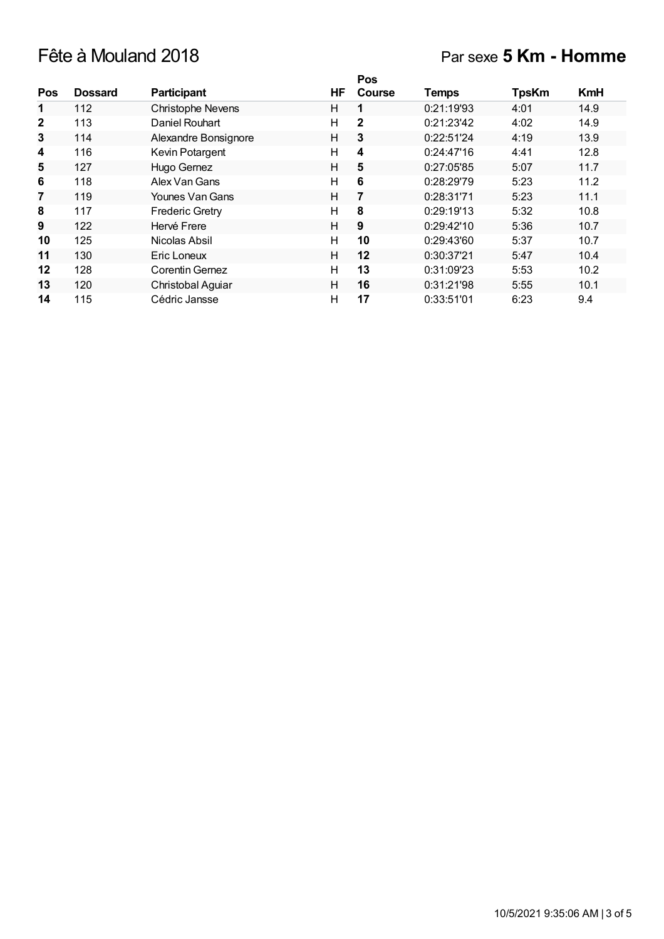## Fête à Mouland 2018 Par sexe **5 Km - Homme**

|              |                |                        |    | <b>Pos</b>    |              |              |            |
|--------------|----------------|------------------------|----|---------------|--------------|--------------|------------|
| Pos          | <b>Dossard</b> | <b>Participant</b>     | HF | <b>Course</b> | <b>Temps</b> | <b>TpsKm</b> | <b>KmH</b> |
| 1            | 112            | Christophe Nevens      | н  | 1             | 0:21:19'93   | 4:01         | 14.9       |
| $\mathbf{2}$ | 113            | Daniel Rouhart         | н  | $\mathbf{2}$  | 0:21:23'42   | 4:02         | 14.9       |
| 3            | 114            | Alexandre Bonsignore   | н  | 3             | 0:22:51'24   | 4:19         | 13.9       |
| 4            | 116            | Kevin Potargent        | н  | 4             | 0:24:47'16   | 4:41         | 12.8       |
| 5            | 127            | Hugo Gernez            | H  | 5             | 0:27:05'85   | 5:07         | 11.7       |
| 6            | 118            | Alex Van Gans          | н  | 6             | 0:28:29'79   | 5:23         | 11.2       |
| 7            | 119            | Younes Van Gans        | Н  | 7             | 0:28:31'71   | 5:23         | 11.1       |
| 8            | 117            | <b>Frederic Gretry</b> | н  | 8             | 0:29:19'13   | 5:32         | 10.8       |
| 9            | 122            | Hervé Frere            | Н  | 9             | 0:29:42'10   | 5:36         | 10.7       |
| 10           | 125            | Nicolas Absil          | н  | 10            | 0:29:43'60   | 5:37         | 10.7       |
| 11           | 130            | Eric Loneux            | Н  | $12 \,$       | 0:30:37'21   | 5:47         | 10.4       |
| 12           | 128            | Corentin Gernez        | н  | 13            | 0:31:09'23   | 5:53         | 10.2       |
| 13           | 120            | Christobal Aguiar      | н  | 16            | 0:31:21'98   | 5:55         | 10.1       |
| 14           | 115            | Cédric Jansse          | Н  | 17            | 0:33:51'01   | 6:23         | 9.4        |